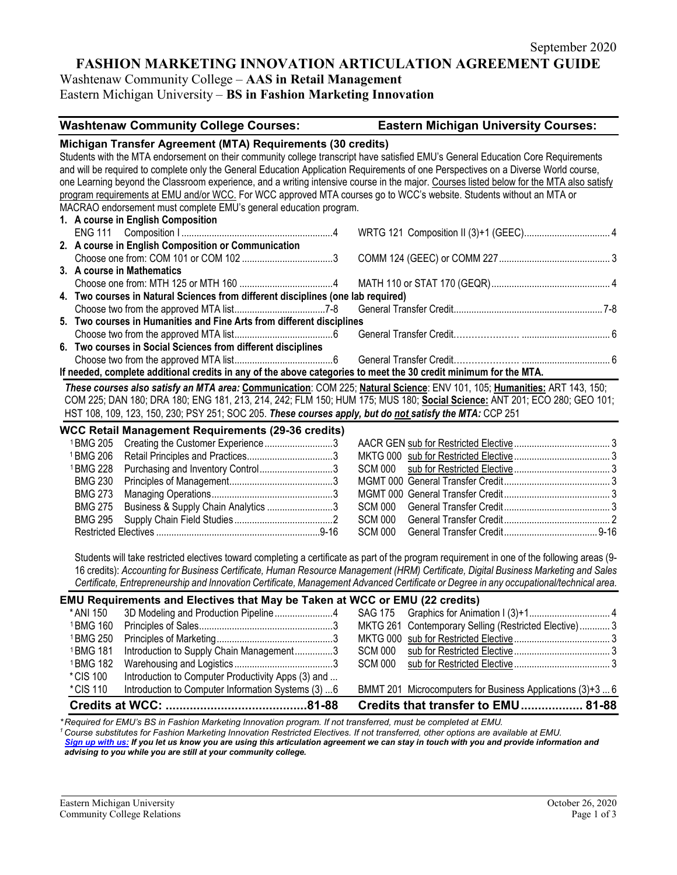# **FASHION MARKETING INNOVATION ARTICULATION AGREEMENT GUIDE**

Washtenaw Community College – **AAS in Retail Management** Eastern Michigan University – **BS in Fashion Marketing Innovation**

| Michigan Transfer Agreement (MTA) Requirements (30 credits)<br>Students with the MTA endorsement on their community college transcript have satisfied EMU's General Education Core Requirements<br>and will be required to complete only the General Education Application Requirements of one Perspectives on a Diverse World course,<br>one Learning beyond the Classroom experience, and a writing intensive course in the major. Courses listed below for the MTA also satisfy<br>program requirements at EMU and/or WCC. For WCC approved MTA courses go to WCC's website. Students without an MTA or<br>MACRAO endorsement must complete EMU's general education program.<br>1. A course in English Composition<br>2. A course in English Composition or Communication<br>3. A course in Mathematics<br>4. Two courses in Natural Sciences from different disciplines (one lab required)<br>5. Two courses in Humanities and Fine Arts from different disciplines<br>6. Two courses in Social Sciences from different disciplines<br>If needed, complete additional credits in any of the above categories to meet the 30 credit minimum for the MTA.<br>These courses also satisfy an MTA area: Communication: COM 225; Natural Science: ENV 101, 105; Humanities: ART 143, 150;<br>COM 225; DAN 180; DRA 180; ENG 181, 213, 214, 242; FLM 150; HUM 175; MUS 180; Social Science: ANT 201; ECO 280; GEO 101;<br>HST 108, 109, 123, 150, 230; PSY 251; SOC 205. These courses apply, but do not satisfy the MTA: CCP 251<br><b>WCC Retail Management Requirements (29-36 credits)</b><br>Creating the Customer Experience3<br><sup>1</sup> BMG 205<br><sup>1</sup> BMG 206<br>Purchasing and Inventory Control3<br><sup>1</sup> BMG 228<br><b>SCM 000</b><br><b>BMG 230</b><br><b>BMG 273</b><br>Business & Supply Chain Analytics 3<br><b>SCM 000</b><br><b>BMG 275</b><br><b>BMG 295</b><br><b>SCM 000</b><br><b>SCM 000</b><br>Students will take restricted electives toward completing a certificate as part of the program requirement in one of the following areas (9-<br>16 credits): Accounting for Business Certificate, Human Resource Management (HRM) Certificate, Digital Business Marketing and Sales<br>Certificate, Entrepreneurship and Innovation Certificate, Management Advanced Certificate or Degree in any occupational/technical area.<br><b>EMU Requirements and Electives that May be Taken at WCC or EMU (22 credits)</b><br><sup>1</sup> BMG 160<br>MKTG 261 Contemporary Selling (Restricted Elective) 3<br><sup>1</sup> BMG 250<br><sup>1</sup> BMG 181<br>Introduction to Supply Chain Management3<br><b>SCM 000</b><br><sup>1</sup> BMG 182<br><b>SCM 000</b><br>*CIS 100<br>Introduction to Computer Productivity Apps (3) and<br>*CIS 110<br>Introduction to Computer Information Systems (3)  6<br>BMMT 201 Microcomputers for Business Applications (3)+3  6<br>Credits that transfer to EMU 81-88<br>*Required for FMU's BS in Fashion Marketing Innovation program If not transferred must be completed at FMU | <b>Washtenaw Community College Courses:</b> |  | <b>Eastern Michigan University Courses:</b> |
|--------------------------------------------------------------------------------------------------------------------------------------------------------------------------------------------------------------------------------------------------------------------------------------------------------------------------------------------------------------------------------------------------------------------------------------------------------------------------------------------------------------------------------------------------------------------------------------------------------------------------------------------------------------------------------------------------------------------------------------------------------------------------------------------------------------------------------------------------------------------------------------------------------------------------------------------------------------------------------------------------------------------------------------------------------------------------------------------------------------------------------------------------------------------------------------------------------------------------------------------------------------------------------------------------------------------------------------------------------------------------------------------------------------------------------------------------------------------------------------------------------------------------------------------------------------------------------------------------------------------------------------------------------------------------------------------------------------------------------------------------------------------------------------------------------------------------------------------------------------------------------------------------------------------------------------------------------------------------------------------------------------------------------------------------------------------------------------------------------------------------------------------------------------------------------------------------------------------------------------------------------------------------------------------------------------------------------------------------------------------------------------------------------------------------------------------------------------------------------------------------------------------------------------------------------------------------------------------------------------------------------------------------------------------------------------------------------------------------------------------------------------------------------------------------------------------------------------------------------------------------------------------------------------------------------------------------------------------------------------------------------------------------------------------------------------|---------------------------------------------|--|---------------------------------------------|
|                                                                                                                                                                                                                                                                                                                                                                                                                                                                                                                                                                                                                                                                                                                                                                                                                                                                                                                                                                                                                                                                                                                                                                                                                                                                                                                                                                                                                                                                                                                                                                                                                                                                                                                                                                                                                                                                                                                                                                                                                                                                                                                                                                                                                                                                                                                                                                                                                                                                                                                                                                                                                                                                                                                                                                                                                                                                                                                                                                                                                                                              |                                             |  |                                             |
|                                                                                                                                                                                                                                                                                                                                                                                                                                                                                                                                                                                                                                                                                                                                                                                                                                                                                                                                                                                                                                                                                                                                                                                                                                                                                                                                                                                                                                                                                                                                                                                                                                                                                                                                                                                                                                                                                                                                                                                                                                                                                                                                                                                                                                                                                                                                                                                                                                                                                                                                                                                                                                                                                                                                                                                                                                                                                                                                                                                                                                                              |                                             |  |                                             |
|                                                                                                                                                                                                                                                                                                                                                                                                                                                                                                                                                                                                                                                                                                                                                                                                                                                                                                                                                                                                                                                                                                                                                                                                                                                                                                                                                                                                                                                                                                                                                                                                                                                                                                                                                                                                                                                                                                                                                                                                                                                                                                                                                                                                                                                                                                                                                                                                                                                                                                                                                                                                                                                                                                                                                                                                                                                                                                                                                                                                                                                              |                                             |  |                                             |
|                                                                                                                                                                                                                                                                                                                                                                                                                                                                                                                                                                                                                                                                                                                                                                                                                                                                                                                                                                                                                                                                                                                                                                                                                                                                                                                                                                                                                                                                                                                                                                                                                                                                                                                                                                                                                                                                                                                                                                                                                                                                                                                                                                                                                                                                                                                                                                                                                                                                                                                                                                                                                                                                                                                                                                                                                                                                                                                                                                                                                                                              |                                             |  |                                             |
|                                                                                                                                                                                                                                                                                                                                                                                                                                                                                                                                                                                                                                                                                                                                                                                                                                                                                                                                                                                                                                                                                                                                                                                                                                                                                                                                                                                                                                                                                                                                                                                                                                                                                                                                                                                                                                                                                                                                                                                                                                                                                                                                                                                                                                                                                                                                                                                                                                                                                                                                                                                                                                                                                                                                                                                                                                                                                                                                                                                                                                                              |                                             |  |                                             |
|                                                                                                                                                                                                                                                                                                                                                                                                                                                                                                                                                                                                                                                                                                                                                                                                                                                                                                                                                                                                                                                                                                                                                                                                                                                                                                                                                                                                                                                                                                                                                                                                                                                                                                                                                                                                                                                                                                                                                                                                                                                                                                                                                                                                                                                                                                                                                                                                                                                                                                                                                                                                                                                                                                                                                                                                                                                                                                                                                                                                                                                              |                                             |  |                                             |
|                                                                                                                                                                                                                                                                                                                                                                                                                                                                                                                                                                                                                                                                                                                                                                                                                                                                                                                                                                                                                                                                                                                                                                                                                                                                                                                                                                                                                                                                                                                                                                                                                                                                                                                                                                                                                                                                                                                                                                                                                                                                                                                                                                                                                                                                                                                                                                                                                                                                                                                                                                                                                                                                                                                                                                                                                                                                                                                                                                                                                                                              |                                             |  |                                             |
|                                                                                                                                                                                                                                                                                                                                                                                                                                                                                                                                                                                                                                                                                                                                                                                                                                                                                                                                                                                                                                                                                                                                                                                                                                                                                                                                                                                                                                                                                                                                                                                                                                                                                                                                                                                                                                                                                                                                                                                                                                                                                                                                                                                                                                                                                                                                                                                                                                                                                                                                                                                                                                                                                                                                                                                                                                                                                                                                                                                                                                                              |                                             |  |                                             |
|                                                                                                                                                                                                                                                                                                                                                                                                                                                                                                                                                                                                                                                                                                                                                                                                                                                                                                                                                                                                                                                                                                                                                                                                                                                                                                                                                                                                                                                                                                                                                                                                                                                                                                                                                                                                                                                                                                                                                                                                                                                                                                                                                                                                                                                                                                                                                                                                                                                                                                                                                                                                                                                                                                                                                                                                                                                                                                                                                                                                                                                              |                                             |  |                                             |
|                                                                                                                                                                                                                                                                                                                                                                                                                                                                                                                                                                                                                                                                                                                                                                                                                                                                                                                                                                                                                                                                                                                                                                                                                                                                                                                                                                                                                                                                                                                                                                                                                                                                                                                                                                                                                                                                                                                                                                                                                                                                                                                                                                                                                                                                                                                                                                                                                                                                                                                                                                                                                                                                                                                                                                                                                                                                                                                                                                                                                                                              |                                             |  |                                             |
|                                                                                                                                                                                                                                                                                                                                                                                                                                                                                                                                                                                                                                                                                                                                                                                                                                                                                                                                                                                                                                                                                                                                                                                                                                                                                                                                                                                                                                                                                                                                                                                                                                                                                                                                                                                                                                                                                                                                                                                                                                                                                                                                                                                                                                                                                                                                                                                                                                                                                                                                                                                                                                                                                                                                                                                                                                                                                                                                                                                                                                                              |                                             |  |                                             |
|                                                                                                                                                                                                                                                                                                                                                                                                                                                                                                                                                                                                                                                                                                                                                                                                                                                                                                                                                                                                                                                                                                                                                                                                                                                                                                                                                                                                                                                                                                                                                                                                                                                                                                                                                                                                                                                                                                                                                                                                                                                                                                                                                                                                                                                                                                                                                                                                                                                                                                                                                                                                                                                                                                                                                                                                                                                                                                                                                                                                                                                              |                                             |  |                                             |
|                                                                                                                                                                                                                                                                                                                                                                                                                                                                                                                                                                                                                                                                                                                                                                                                                                                                                                                                                                                                                                                                                                                                                                                                                                                                                                                                                                                                                                                                                                                                                                                                                                                                                                                                                                                                                                                                                                                                                                                                                                                                                                                                                                                                                                                                                                                                                                                                                                                                                                                                                                                                                                                                                                                                                                                                                                                                                                                                                                                                                                                              |                                             |  |                                             |
|                                                                                                                                                                                                                                                                                                                                                                                                                                                                                                                                                                                                                                                                                                                                                                                                                                                                                                                                                                                                                                                                                                                                                                                                                                                                                                                                                                                                                                                                                                                                                                                                                                                                                                                                                                                                                                                                                                                                                                                                                                                                                                                                                                                                                                                                                                                                                                                                                                                                                                                                                                                                                                                                                                                                                                                                                                                                                                                                                                                                                                                              |                                             |  |                                             |
|                                                                                                                                                                                                                                                                                                                                                                                                                                                                                                                                                                                                                                                                                                                                                                                                                                                                                                                                                                                                                                                                                                                                                                                                                                                                                                                                                                                                                                                                                                                                                                                                                                                                                                                                                                                                                                                                                                                                                                                                                                                                                                                                                                                                                                                                                                                                                                                                                                                                                                                                                                                                                                                                                                                                                                                                                                                                                                                                                                                                                                                              |                                             |  |                                             |
|                                                                                                                                                                                                                                                                                                                                                                                                                                                                                                                                                                                                                                                                                                                                                                                                                                                                                                                                                                                                                                                                                                                                                                                                                                                                                                                                                                                                                                                                                                                                                                                                                                                                                                                                                                                                                                                                                                                                                                                                                                                                                                                                                                                                                                                                                                                                                                                                                                                                                                                                                                                                                                                                                                                                                                                                                                                                                                                                                                                                                                                              |                                             |  |                                             |
|                                                                                                                                                                                                                                                                                                                                                                                                                                                                                                                                                                                                                                                                                                                                                                                                                                                                                                                                                                                                                                                                                                                                                                                                                                                                                                                                                                                                                                                                                                                                                                                                                                                                                                                                                                                                                                                                                                                                                                                                                                                                                                                                                                                                                                                                                                                                                                                                                                                                                                                                                                                                                                                                                                                                                                                                                                                                                                                                                                                                                                                              |                                             |  |                                             |
|                                                                                                                                                                                                                                                                                                                                                                                                                                                                                                                                                                                                                                                                                                                                                                                                                                                                                                                                                                                                                                                                                                                                                                                                                                                                                                                                                                                                                                                                                                                                                                                                                                                                                                                                                                                                                                                                                                                                                                                                                                                                                                                                                                                                                                                                                                                                                                                                                                                                                                                                                                                                                                                                                                                                                                                                                                                                                                                                                                                                                                                              |                                             |  |                                             |
|                                                                                                                                                                                                                                                                                                                                                                                                                                                                                                                                                                                                                                                                                                                                                                                                                                                                                                                                                                                                                                                                                                                                                                                                                                                                                                                                                                                                                                                                                                                                                                                                                                                                                                                                                                                                                                                                                                                                                                                                                                                                                                                                                                                                                                                                                                                                                                                                                                                                                                                                                                                                                                                                                                                                                                                                                                                                                                                                                                                                                                                              |                                             |  |                                             |
|                                                                                                                                                                                                                                                                                                                                                                                                                                                                                                                                                                                                                                                                                                                                                                                                                                                                                                                                                                                                                                                                                                                                                                                                                                                                                                                                                                                                                                                                                                                                                                                                                                                                                                                                                                                                                                                                                                                                                                                                                                                                                                                                                                                                                                                                                                                                                                                                                                                                                                                                                                                                                                                                                                                                                                                                                                                                                                                                                                                                                                                              |                                             |  |                                             |
|                                                                                                                                                                                                                                                                                                                                                                                                                                                                                                                                                                                                                                                                                                                                                                                                                                                                                                                                                                                                                                                                                                                                                                                                                                                                                                                                                                                                                                                                                                                                                                                                                                                                                                                                                                                                                                                                                                                                                                                                                                                                                                                                                                                                                                                                                                                                                                                                                                                                                                                                                                                                                                                                                                                                                                                                                                                                                                                                                                                                                                                              |                                             |  |                                             |
|                                                                                                                                                                                                                                                                                                                                                                                                                                                                                                                                                                                                                                                                                                                                                                                                                                                                                                                                                                                                                                                                                                                                                                                                                                                                                                                                                                                                                                                                                                                                                                                                                                                                                                                                                                                                                                                                                                                                                                                                                                                                                                                                                                                                                                                                                                                                                                                                                                                                                                                                                                                                                                                                                                                                                                                                                                                                                                                                                                                                                                                              |                                             |  |                                             |
|                                                                                                                                                                                                                                                                                                                                                                                                                                                                                                                                                                                                                                                                                                                                                                                                                                                                                                                                                                                                                                                                                                                                                                                                                                                                                                                                                                                                                                                                                                                                                                                                                                                                                                                                                                                                                                                                                                                                                                                                                                                                                                                                                                                                                                                                                                                                                                                                                                                                                                                                                                                                                                                                                                                                                                                                                                                                                                                                                                                                                                                              |                                             |  |                                             |
|                                                                                                                                                                                                                                                                                                                                                                                                                                                                                                                                                                                                                                                                                                                                                                                                                                                                                                                                                                                                                                                                                                                                                                                                                                                                                                                                                                                                                                                                                                                                                                                                                                                                                                                                                                                                                                                                                                                                                                                                                                                                                                                                                                                                                                                                                                                                                                                                                                                                                                                                                                                                                                                                                                                                                                                                                                                                                                                                                                                                                                                              |                                             |  |                                             |
|                                                                                                                                                                                                                                                                                                                                                                                                                                                                                                                                                                                                                                                                                                                                                                                                                                                                                                                                                                                                                                                                                                                                                                                                                                                                                                                                                                                                                                                                                                                                                                                                                                                                                                                                                                                                                                                                                                                                                                                                                                                                                                                                                                                                                                                                                                                                                                                                                                                                                                                                                                                                                                                                                                                                                                                                                                                                                                                                                                                                                                                              |                                             |  |                                             |
|                                                                                                                                                                                                                                                                                                                                                                                                                                                                                                                                                                                                                                                                                                                                                                                                                                                                                                                                                                                                                                                                                                                                                                                                                                                                                                                                                                                                                                                                                                                                                                                                                                                                                                                                                                                                                                                                                                                                                                                                                                                                                                                                                                                                                                                                                                                                                                                                                                                                                                                                                                                                                                                                                                                                                                                                                                                                                                                                                                                                                                                              |                                             |  |                                             |
|                                                                                                                                                                                                                                                                                                                                                                                                                                                                                                                                                                                                                                                                                                                                                                                                                                                                                                                                                                                                                                                                                                                                                                                                                                                                                                                                                                                                                                                                                                                                                                                                                                                                                                                                                                                                                                                                                                                                                                                                                                                                                                                                                                                                                                                                                                                                                                                                                                                                                                                                                                                                                                                                                                                                                                                                                                                                                                                                                                                                                                                              |                                             |  |                                             |
|                                                                                                                                                                                                                                                                                                                                                                                                                                                                                                                                                                                                                                                                                                                                                                                                                                                                                                                                                                                                                                                                                                                                                                                                                                                                                                                                                                                                                                                                                                                                                                                                                                                                                                                                                                                                                                                                                                                                                                                                                                                                                                                                                                                                                                                                                                                                                                                                                                                                                                                                                                                                                                                                                                                                                                                                                                                                                                                                                                                                                                                              |                                             |  |                                             |
|                                                                                                                                                                                                                                                                                                                                                                                                                                                                                                                                                                                                                                                                                                                                                                                                                                                                                                                                                                                                                                                                                                                                                                                                                                                                                                                                                                                                                                                                                                                                                                                                                                                                                                                                                                                                                                                                                                                                                                                                                                                                                                                                                                                                                                                                                                                                                                                                                                                                                                                                                                                                                                                                                                                                                                                                                                                                                                                                                                                                                                                              |                                             |  |                                             |
|                                                                                                                                                                                                                                                                                                                                                                                                                                                                                                                                                                                                                                                                                                                                                                                                                                                                                                                                                                                                                                                                                                                                                                                                                                                                                                                                                                                                                                                                                                                                                                                                                                                                                                                                                                                                                                                                                                                                                                                                                                                                                                                                                                                                                                                                                                                                                                                                                                                                                                                                                                                                                                                                                                                                                                                                                                                                                                                                                                                                                                                              |                                             |  |                                             |
|                                                                                                                                                                                                                                                                                                                                                                                                                                                                                                                                                                                                                                                                                                                                                                                                                                                                                                                                                                                                                                                                                                                                                                                                                                                                                                                                                                                                                                                                                                                                                                                                                                                                                                                                                                                                                                                                                                                                                                                                                                                                                                                                                                                                                                                                                                                                                                                                                                                                                                                                                                                                                                                                                                                                                                                                                                                                                                                                                                                                                                                              |                                             |  |                                             |
|                                                                                                                                                                                                                                                                                                                                                                                                                                                                                                                                                                                                                                                                                                                                                                                                                                                                                                                                                                                                                                                                                                                                                                                                                                                                                                                                                                                                                                                                                                                                                                                                                                                                                                                                                                                                                                                                                                                                                                                                                                                                                                                                                                                                                                                                                                                                                                                                                                                                                                                                                                                                                                                                                                                                                                                                                                                                                                                                                                                                                                                              |                                             |  |                                             |
|                                                                                                                                                                                                                                                                                                                                                                                                                                                                                                                                                                                                                                                                                                                                                                                                                                                                                                                                                                                                                                                                                                                                                                                                                                                                                                                                                                                                                                                                                                                                                                                                                                                                                                                                                                                                                                                                                                                                                                                                                                                                                                                                                                                                                                                                                                                                                                                                                                                                                                                                                                                                                                                                                                                                                                                                                                                                                                                                                                                                                                                              |                                             |  |                                             |

Required for EMO's BS in Fashion Marketing innovation program. It not transferred, must be completed at EMO.<br><sup>1</sup> Course substitutes for Fashion Marketing Innovation Restricted Electives. If not transferred, other options a

*[Sign up with us:](https://www.emich.edu/ccr/articulation-agreements/signup.php) If you let us know you are using this articulation agreement we can stay in touch with you and provide information and advising to you while you are still at your community college.*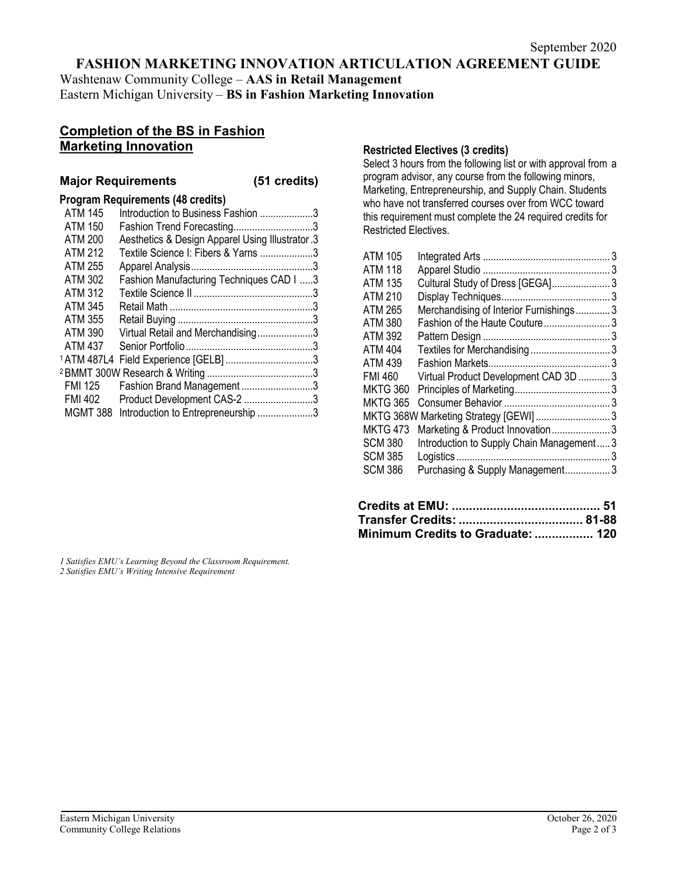## **FASHION MARKETING INNOVATION ARTICULATION AGREEMENT GUIDE**

Washtenaw Community College – **AAS in Retail Management** Eastern Michigan University – **BS in Fashion Marketing Innovation**

## **Completion of the BS in Fashion Marketing Innovation**

### **Major Requirements (51 credits)**

#### **Program Requirements (48 credits)**

| <b>ATM 145</b>         | Introduction to Business Fashion 3               |  |
|------------------------|--------------------------------------------------|--|
| <b>ATM 150</b>         | Fashion Trend Forecasting3                       |  |
| <b>ATM 200</b>         | Aesthetics & Design Apparel Using Illustrator .3 |  |
| <b>ATM 212</b>         | Textile Science I: Fibers & Yarns 3              |  |
| <b>ATM 255</b>         |                                                  |  |
| <b>ATM 302</b>         | Fashion Manufacturing Techniques CAD I 3         |  |
| <b>ATM 312</b>         |                                                  |  |
| ATM 345                |                                                  |  |
| ATM 355                |                                                  |  |
| <b>ATM 390</b>         | Virtual Retail and Merchandising3                |  |
| <b>ATM 437</b>         |                                                  |  |
| <sup>1</sup> ATM 487L4 |                                                  |  |
|                        |                                                  |  |
| FMI 125                | Fashion Brand Management 3                       |  |
| FMI 402                | Product Development CAS-2 3                      |  |
| MGMT 388               | Introduction to Entrepreneurship 3               |  |

### **Restricted Electives (3 credits)**

Select 3 hours from the following list or with approval from a program advisor, any course from the following minors, Marketing, Entrepreneurship, and Supply Chain. Students who have not transferred courses over from WCC toward this requirement must complete the 24 required credits for Restricted Electives.

| <b>ATM 105</b>  |                                          |  |
|-----------------|------------------------------------------|--|
| <b>ATM 118</b>  |                                          |  |
| <b>ATM 135</b>  | Cultural Study of Dress [GEGA] 3         |  |
| ATM 210         |                                          |  |
| <b>ATM 265</b>  | Merchandising of Interior Furnishings3   |  |
| <b>ATM 380</b>  | Fashion of the Haute Couture 3           |  |
| <b>ATM 392</b>  |                                          |  |
| <b>ATM 404</b>  | Textiles for Merchandising 3             |  |
| ATM 439         |                                          |  |
| <b>FMI 460</b>  | Virtual Product Development CAD 3D 3     |  |
| <b>MKTG 360</b> |                                          |  |
| MKTG 365        |                                          |  |
|                 |                                          |  |
| <b>MKTG 473</b> | Marketing & Product Innovation3          |  |
| <b>SCM 380</b>  | Introduction to Supply Chain Management3 |  |
| <b>SCM 385</b>  |                                          |  |
| <b>SCM 386</b>  | Purchasing & Supply Management3          |  |
|                 |                                          |  |

| Minimum Credits to Graduate:  120 |  |
|-----------------------------------|--|

*1 Satisfies EMU's Learning Beyond the Classroom Requirement. 2 Satisfies EMU's Writing Intensive Requirement*